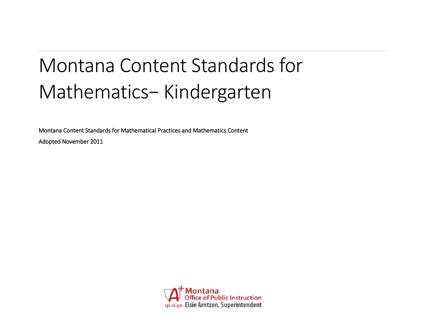# Montana Content Standards for Mathematics− Kindergarten

Montana Content Standards for Mathematical Practices and Mathematics Content

Adopted November 2011

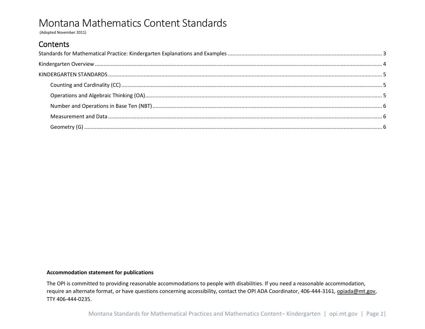(Adopted November 2011)

### Contents

#### **Accommodation statement for publications**

The OPI is committed to providing reasonable accommodations to people with disabilities. If you need a reasonable accommodation, require an alternate format, or have questions concerning accessibility, contact the OPI ADA Coordinator, 406-444-3161*,* [opiada@mt.gov,](mailto:opiada@mt.gov) TTY 406-444-0235.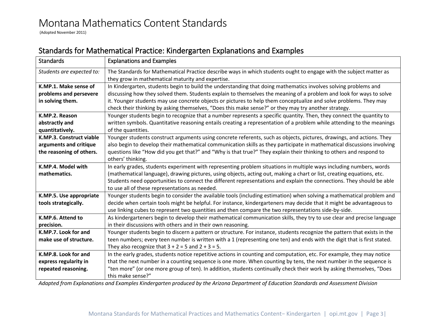(Adopted November 2011)

### <span id="page-2-0"></span>Standards for Mathematical Practice: Kindergarten Explanations and Examples

| <b>Standards</b>          | <b>Explanations and Examples</b>                                                                                          |  |  |  |  |  |  |
|---------------------------|---------------------------------------------------------------------------------------------------------------------------|--|--|--|--|--|--|
| Students are expected to: | The Standards for Mathematical Practice describe ways in which students ought to engage with the subject matter as        |  |  |  |  |  |  |
|                           | they grow in mathematical maturity and expertise.                                                                         |  |  |  |  |  |  |
| K.MP.1. Make sense of     | In Kindergarten, students begin to build the understanding that doing mathematics involves solving problems and           |  |  |  |  |  |  |
| problems and persevere    | discussing how they solved them. Students explain to themselves the meaning of a problem and look for ways to solve       |  |  |  |  |  |  |
| in solving them.          | it. Younger students may use concrete objects or pictures to help them conceptualize and solve problems. They may         |  |  |  |  |  |  |
|                           | check their thinking by asking themselves, "Does this make sense?" or they may try another strategy.                      |  |  |  |  |  |  |
| K.MP.2. Reason            | Younger students begin to recognize that a number represents a specific quantity. Then, they connect the quantity to      |  |  |  |  |  |  |
| abstractly and            | written symbols. Quantitative reasoning entails creating a representation of a problem while attending to the meanings    |  |  |  |  |  |  |
| quantitatively.           | of the quantities.                                                                                                        |  |  |  |  |  |  |
| K.MP.3. Construct viable  | Younger students construct arguments using concrete referents, such as objects, pictures, drawings, and actions. They     |  |  |  |  |  |  |
| arguments and critique    | also begin to develop their mathematical communication skills as they participate in mathematical discussions involving   |  |  |  |  |  |  |
| the reasoning of others.  | questions like "How did you get that?" and "Why is that true?" They explain their thinking to others and respond to       |  |  |  |  |  |  |
|                           | others' thinking.                                                                                                         |  |  |  |  |  |  |
| K.MP.4. Model with        | In early grades, students experiment with representing problem situations in multiple ways including numbers, words       |  |  |  |  |  |  |
| mathematics.              | (mathematical language), drawing pictures, using objects, acting out, making a chart or list, creating equations, etc.    |  |  |  |  |  |  |
|                           | Students need opportunities to connect the different representations and explain the connections. They should be able     |  |  |  |  |  |  |
|                           | to use all of these representations as needed.                                                                            |  |  |  |  |  |  |
| K.MP.5. Use appropriate   | Younger students begin to consider the available tools (including estimation) when solving a mathematical problem and     |  |  |  |  |  |  |
| tools strategically.      | decide when certain tools might be helpful. For instance, kindergarteners may decide that it might be advantageous to     |  |  |  |  |  |  |
|                           | use linking cubes to represent two quantities and then compare the two representations side-by-side.                      |  |  |  |  |  |  |
| K.MP.6. Attend to         | As kindergarteners begin to develop their mathematical communication skills, they try to use clear and precise language   |  |  |  |  |  |  |
| precision.                | in their discussions with others and in their own reasoning.                                                              |  |  |  |  |  |  |
| K.MP.7. Look for and      | Younger students begin to discern a pattern or structure. For instance, students recognize the pattern that exists in the |  |  |  |  |  |  |
| make use of structure.    | teen numbers; every teen number is written with a 1 (representing one ten) and ends with the digit that is first stated.  |  |  |  |  |  |  |
|                           | They also recognize that $3 + 2 = 5$ and $2 + 3 = 5$ .                                                                    |  |  |  |  |  |  |
| K.MP.8. Look for and      | In the early grades, students notice repetitive actions in counting and computation, etc. For example, they may notice    |  |  |  |  |  |  |
| express regularity in     | that the next number in a counting sequence is one more. When counting by tens, the next number in the sequence is        |  |  |  |  |  |  |
| repeated reasoning.       | "ten more" (or one more group of ten). In addition, students continually check their work by asking themselves, "Does     |  |  |  |  |  |  |
|                           | this make sense?"                                                                                                         |  |  |  |  |  |  |

*Adapted from Explanations and Examples Kindergarten produced by the Arizona Department of Education Standards and Assessment Division*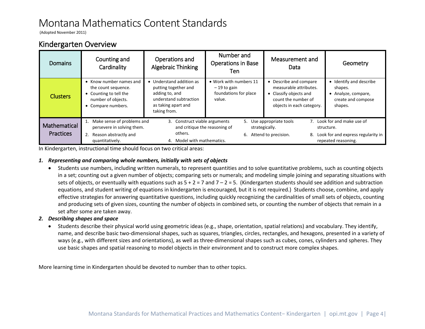(Adopted November 2011)

### <span id="page-3-0"></span>Kindergarten Overview

| Domains                          | Counting and<br>Cardinality                                                                                                  | Operations and<br>Algebraic Thinking                                                                                              | Number and<br><b>Operations in Base</b><br>Ten                             | Measurement and<br>Data                                                                                                      | Geometry                                                                                               |
|----------------------------------|------------------------------------------------------------------------------------------------------------------------------|-----------------------------------------------------------------------------------------------------------------------------------|----------------------------------------------------------------------------|------------------------------------------------------------------------------------------------------------------------------|--------------------------------------------------------------------------------------------------------|
| <b>Clusters</b>                  | $\bullet$ Know number names and<br>the count sequence.<br>• Counting to tell the<br>number of objects.<br>• Compare numbers. | Understand addition as<br>putting together and<br>adding to, and<br>understand subtraction<br>as taking apart and<br>taking from. | • Work with numbers 11<br>$-19$ to gain<br>foundations for place<br>value. | • Describe and compare<br>measurable attributes.<br>Classify objects and<br>count the number of<br>objects in each category. | • Identify and describe<br>shapes.<br>Analyze, compare,<br>create and compose<br>shapes.               |
| Mathematical<br><b>Practices</b> | Make sense of problems and<br>persevere in solving them.<br>2.<br>Reason abstractly and<br>quantitatively.                   | Construct viable arguments<br>3.<br>and critique the reasoning of<br>others.<br>Model with mathematics.                           | 5.                                                                         | Use appropriate tools<br>strategically.<br>6. Attend to precision.<br>8.                                                     | 7. Look for and make use of<br>structure.<br>Look for and express regularity in<br>repeated reasoning. |

In Kindergarten, instructional time should focus on two critical areas:

#### *1. Representing and comparing whole numbers, initially with sets of objects*

• Students use numbers, including written numerals, to represent quantities and to solve quantitative problems, such as counting objects in a set; counting out a given number of objects; comparing sets or numerals; and modeling simple joining and separating situations with sets of objects, or eventually with equations such as  $5 + 2 = 7$  and  $7 - 2 = 5$ . (Kindergarten students should see addition and subtraction equations, and student writing of equations in kindergarten is encouraged, but it is not required.) Students choose, combine, and apply effective strategies for answering quantitative questions, including quickly recognizing the cardinalities of small sets of objects, counting and producing sets of given sizes, counting the number of objects in combined sets, or counting the number of objects that remain in a set after some are taken away.

#### *2. Describing shapes and space*

• Students describe their physical world using geometric ideas (e.g., shape, orientation, spatial relations) and vocabulary. They identify, name, and describe basic two-dimensional shapes, such as squares, triangles, circles, rectangles, and hexagons, presented in a variety of ways (e.g., with different sizes and orientations), as well as three-dimensional shapes such as cubes, cones, cylinders and spheres. They use basic shapes and spatial reasoning to model objects in their environment and to construct more complex shapes.

More learning time in Kindergarten should be devoted to number than to other topics.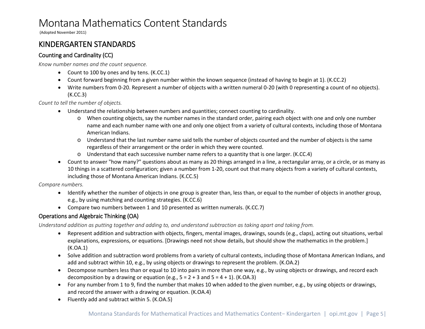(Adopted November 2011)

## <span id="page-4-0"></span>KINDERGARTEN STANDARDS

### <span id="page-4-1"></span>Counting and Cardinality (CC)

*Know number names and the count sequence.*

- Count to 100 by ones and by tens. (K.CC.1)
- Count forward beginning from a given number within the known sequence (instead of having to begin at 1). (K.CC.2)
- Write numbers from 0-20. Represent a number of objects with a written numeral 0-20 (with 0 representing a count of no objects). (K.CC.3)

*Count to tell the number of objects.*

- Understand the relationship between numbers and quantities; connect counting to cardinality.
	- o When counting objects, say the number names in the standard order, pairing each object with one and only one number name and each number name with one and only one object from a variety of cultural contexts, including those of Montana American Indians.
	- o Understand that the last number name said tells the number of objects counted and the number of objects is the same regardless of their arrangement or the order in which they were counted.
	- o Understand that each successive number name refers to a quantity that is one larger. (K.CC.4)
- Count to answer "how many?" questions about as many as 20 things arranged in a line, a rectangular array, or a circle, or as many as 10 things in a scattered configuration; given a number from 1-20, count out that many objects from a variety of cultural contexts, including those of Montana American Indians. (K.CC.5)

*Compare numbers.*

- Identify whether the number of objects in one group is greater than, less than, or equal to the number of objects in another group, e.g., by using matching and counting strategies. (K.CC.6)
- Compare two numbers between 1 and 10 presented as written numerals. (K.CC.7)

### <span id="page-4-2"></span>Operations and Algebraic Thinking (OA)

*Understand addition as putting together and adding to, and understand subtraction as taking apart and taking from.*

- Represent addition and subtraction with objects, fingers, mental images, drawings, sounds (e.g., claps), acting out situations, verbal explanations, expressions, or equations. [Drawings need not show details, but should show the mathematics in the problem.] (K.OA.1)
- Solve addition and subtraction word problems from a variety of cultural contexts, including those of Montana American Indians, and add and subtract within 10, e.g., by using objects or drawings to represent the problem. (K.OA.2)
- Decompose numbers less than or equal to 10 into pairs in more than one way, e.g., by using objects or drawings, and record each decomposition by a drawing or equation (e.g.,  $5 = 2 + 3$  and  $5 = 4 + 1$ ). (K.OA.3)
- For any number from 1 to 9, find the number that makes 10 when added to the given number, e.g., by using objects or drawings, and record the answer with a drawing or equation. (K.OA.4)
- Fluently add and subtract within 5. (K.OA.5)